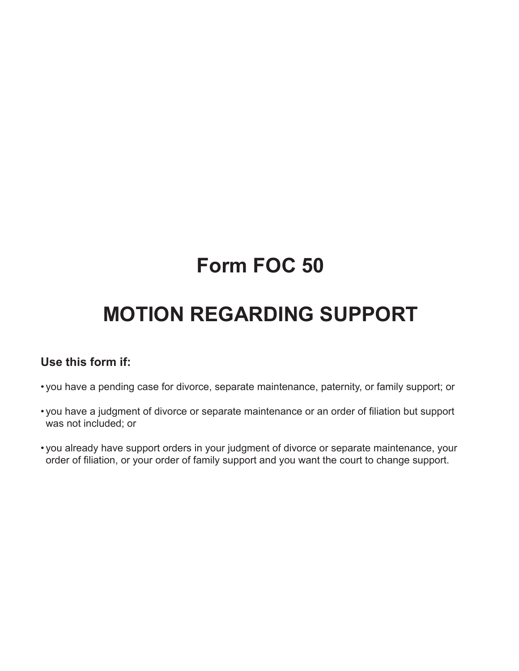# **Form FOC 50**

# **MOTION REGARDING SUPPORT**

## **Use this form if:**

- you have a pending case for divorce, separate maintenance, paternity, or family support; or
- you have a judgment of divorce or separate maintenance or an order of filiation but support was not included; or
- you already have support orders in your judgment of divorce or separate maintenance, your order of filiation, or your order of family support and you want the court to change support.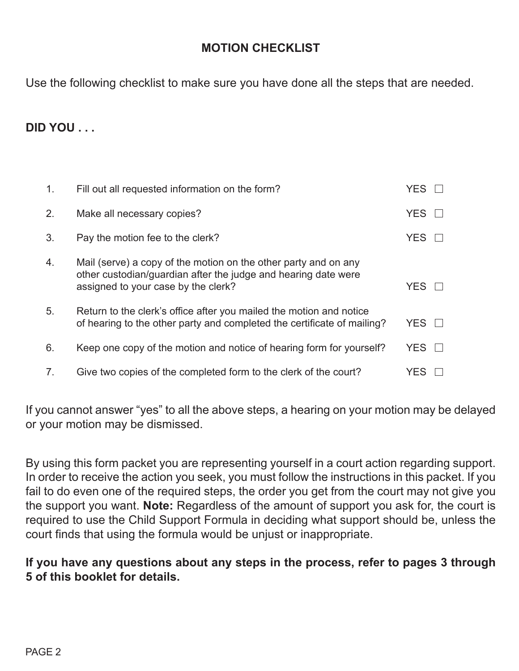# **MOTION CHECKLIST**

Use the following checklist to make sure you have done all the steps that are needed.

# **DID YOU . . .**

| 1. | Fill out all requested information on the form?                                                                                                                          | <b>YES</b> |  |
|----|--------------------------------------------------------------------------------------------------------------------------------------------------------------------------|------------|--|
| 2. | Make all necessary copies?                                                                                                                                               | <b>YES</b> |  |
| 3. | Pay the motion fee to the clerk?                                                                                                                                         | <b>YES</b> |  |
| 4. | Mail (serve) a copy of the motion on the other party and on any<br>other custodian/guardian after the judge and hearing date were<br>assigned to your case by the clerk? | <b>YES</b> |  |
| 5. | Return to the clerk's office after you mailed the motion and notice<br>of hearing to the other party and completed the certificate of mailing?                           | YES.       |  |
| 6. | Keep one copy of the motion and notice of hearing form for yourself?                                                                                                     | <b>YES</b> |  |
| 7. | Give two copies of the completed form to the clerk of the court?                                                                                                         | YES        |  |

If you cannot answer "yes" to all the above steps, a hearing on your motion may be delayed or your motion may be dismissed.

By using this form packet you are representing yourself in a court action regarding support. In order to receive the action you seek, you must follow the instructions in this packet. If you fail to do even one of the required steps, the order you get from the court may not give you the support you want. **Note:** Regardless of the amount of support you ask for, the court is required to use the Child Support Formula in deciding what support should be, unless the court finds that using the formula would be unjust or inappropriate.

## **If you have any questions about any steps in the process, refer to pages 3 through 5 of this booklet for details.**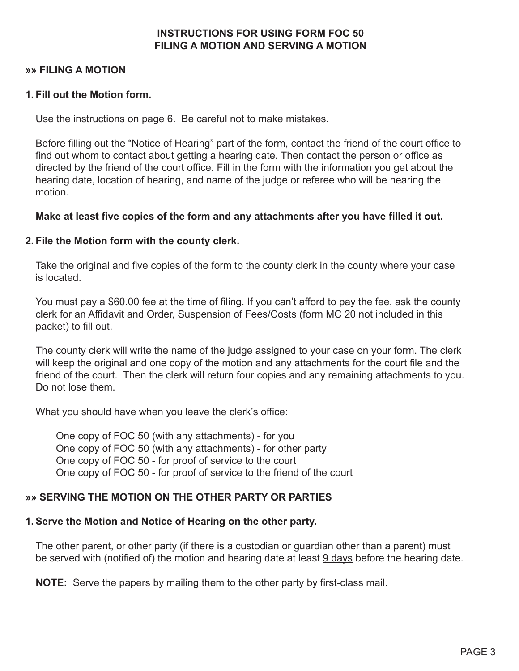## **INSTRUCTIONS FOR USING FORM FOC 50 FILING A MOTION AND SERVING A MOTION**

## **»» FILING A MOTION**

## **1. Fill out the Motion form.**

Use the instructions on page 6. Be careful not to make mistakes.

Before filling out the "Notice of Hearing" part of the form, contact the friend of the court office to find out whom to contact about getting a hearing date. Then contact the person or office as directed by the friend of the court office. Fill in the form with the information you get about the hearing date, location of hearing, and name of the judge or referee who will be hearing the motion.

## **Make at least five copies of the form and any attachments after you have filled it out.**

## **2. File the Motion form with the county clerk.**

Take the original and five copies of the form to the county clerk in the county where your case is located.

You must pay a \$60.00 fee at the time of filing. If you can't afford to pay the fee, ask the county clerk for an Affidavit and Order, Suspension of Fees/Costs (form MC 20 not included in this packet) to fill out.

The county clerk will write the name of the judge assigned to your case on your form. The clerk will keep the original and one copy of the motion and any attachments for the court file and the friend of the court. Then the clerk will return four copies and any remaining attachments to you. Do not lose them.

What you should have when you leave the clerk's office:

 One copy of FOC 50 (with any attachments) - for you One copy of FOC 50 (with any attachments) - for other party One copy of FOC 50 - for proof of service to the court One copy of FOC 50 - for proof of service to the friend of the court

## **»» SERVING THE MOTION ON THE OTHER PARTY OR PARTIES**

## **1.Serve the Motion and Notice of Hearing on the other party.**

The other parent, or other party (if there is a custodian or guardian other than a parent) must be served with (notified of) the motion and hearing date at least 9 days before the hearing date.

**NOTE:** Serve the papers by mailing them to the other party by first-class mail.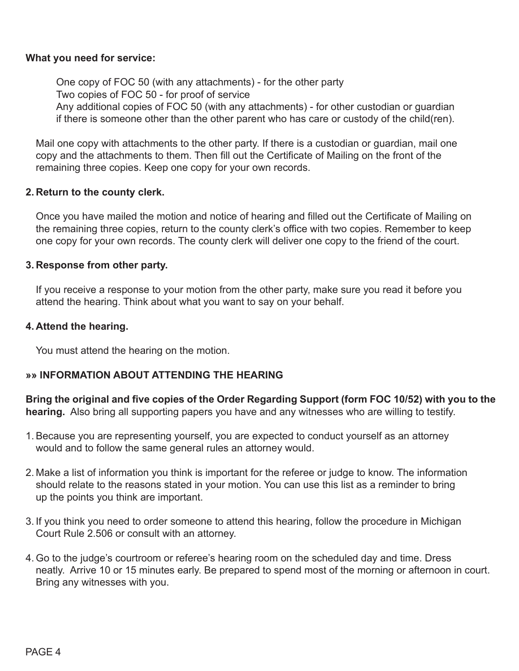## **What you need for service:**

 One copy of FOC 50 (with any attachments) - for the other party Two copies of FOC 50 - for proof of service Any additional copies of FOC 50 (with any attachments) - for other custodian or guardian if there is someone other than the other parent who has care or custody of the child(ren).

Mail one copy with attachments to the other party. If there is a custodian or guardian, mail one copy and the attachments to them. Then fill out the Certificate of Mailing on the front of the remaining three copies. Keep one copy for your own records.

## **2. Return to the county clerk.**

Once you have mailed the motion and notice of hearing and filled out the Certificate of Mailing on the remaining three copies, return to the county clerk's office with two copies. Remember to keep one copy for your own records. The county clerk will deliver one copy to the friend of the court.

## **3. Response from other party.**

If you receive a response to your motion from the other party, make sure you read it before you attend the hearing. Think about what you want to say on your behalf.

### **4. Attend the hearing.**

You must attend the hearing on the motion.

## **»» INFORMATION ABOUT ATTENDING THE HEARING**

**Bring the original and five copies of the Order Regarding Support (form FOC 10/52) with you to the hearing.** Also bring all supporting papers you have and any witnesses who are willing to testify.

- 1.Because you are representing yourself, you are expected to conduct yourself as an attorney would and to follow the same general rules an attorney would.
- 2. Make a list of information you think is important for the referee or judge to know. The information should relate to the reasons stated in your motion. You can use this list as a reminder to bring up the points you think are important.
- 3. If you think you need to order someone to attend this hearing, follow the procedure in Michigan Court Rule 2.506 or consult with an attorney.
- 4. Go to the judge's courtroom or referee's hearing room on the scheduled day and time. Dress neatly. Arrive 10 or 15 minutes early. Be prepared to spend most of the morning or afternoon in court. Bring any witnesses with you.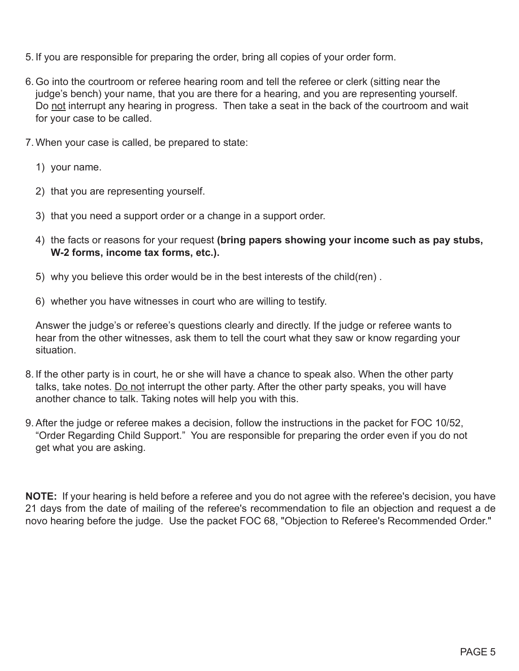- 5. If you are responsible for preparing the order, bring all copies of your order form.
- 6. Go into the courtroom or referee hearing room and tell the referee or clerk (sitting near the judge's bench) your name, that you are there for a hearing, and you are representing yourself. Do not interrupt any hearing in progress. Then take a seat in the back of the courtroom and wait for your case to be called.
- 7. When your case is called, be prepared to state:
	- 1) your name.
	- 2) that you are representing yourself.
	- 3) that you need a support order or a change in a support order.
	- 4) the facts or reasons for your request **(bring papers showing your income such as pay stubs, W-2 forms, income tax forms, etc.).**
	- 5) why you believe this order would be in the best interests of the child(ren) .
	- 6) whether you have witnesses in court who are willing to testify.

Answer the judge's or referee's questions clearly and directly. If the judge or referee wants to hear from the other witnesses, ask them to tell the court what they saw or know regarding your situation.

- 8. If the other party is in court, he or she will have a chance to speak also. When the other party talks, take notes. Do not interrupt the other party. After the other party speaks, you will have another chance to talk. Taking notes will help you with this.
- 9.After the judge or referee makes a decision, follow the instructions in the packet for FOC 10/52, "Order Regarding Child Support." You are responsible for preparing the order even if you do not get what you are asking.

**NOTE:** If your hearing is held before a referee and you do not agree with the referee's decision, you have 21 days from the date of mailing of the referee's recommendation to file an objection and request a de novo hearing before the judge. Use the packet FOC 68, "Objection to Referee's Recommended Order."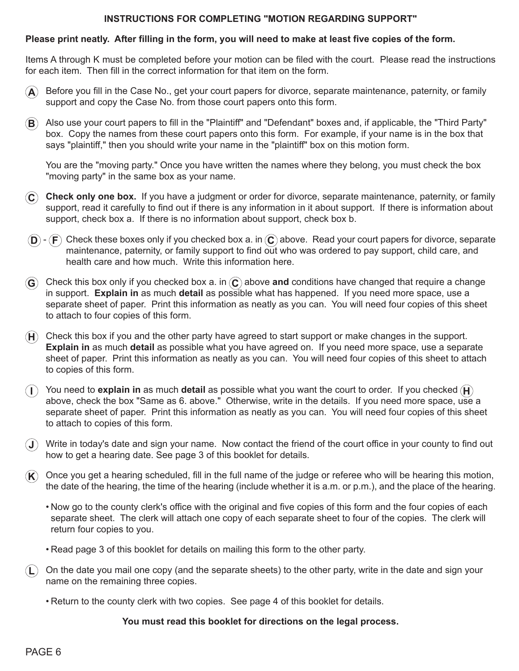#### **INSTRUCTIONS FOR COMPLETING "MOTION REGARDING SUPPORT"**

#### **Please print neatly. After filling in the form, you will need to make at least five copies of the form.**

Items A through K must be completed before your motion can be filed with the court. Please read the instructions for each item. Then fill in the correct information for that item on the form.

- **A** Before you fill in the Case No., get your court papers for divorce, separate maintenance, paternity, or family support and copy the Case No. from those court papers onto this form.
- $\bf B$ ) Also use your court papers to fill in the "Plaintiff" and "Defendant" boxes and, if applicable, the "Third Party" box. Copy the names from these court papers onto this form. For example, if your name is in the box that says "plaintiff," then you should write your name in the "plaintiff" box on this motion form.

 You are the "moving party." Once you have written the names where they belong, you must check the box "moving party" in the same box as your name.

- **C Check only one box.** If you have a judgment or order for divorce, separate maintenance, paternity, or family support, read it carefully to find out if there is any information in it about support. If there is information about support, check box a. If there is no information about support, check box b.
- **D F** Check these boxes only if you checked box a. in **C** above. Read your court papers for divorce, separate maintenance, paternity, or family support to find out who was ordered to pay support, child care, and health care and how much. Write this information here.
- **G** Check this box only if you checked box a. in **C** above and conditions have changed that require a change in support. **Explain in** as much **detail** as possible what has happened. If you need more space, use a separate sheet of paper. Print this information as neatly as you can. You will need four copies of this sheet to attach to four copies of this form.
- $H$  Check this box if you and the other party have agreed to start support or make changes in the support. **Explain in** as much **detail** as possible what you have agreed on. If you need more space, use a separate sheet of paper. Print this information as neatly as you can. You will need four copies of this sheet to attach to copies of this form.
- (I) You need to **explain in** as much **detail** as possible what you want the court to order. If you checked  $(\mathbf{H})$  above, check the box "Same as 6. above." Otherwise, write in the details. If you need more space, use a separate sheet of paper. Print this information as neatly as you can. You will need four copies of this sheet to attach to copies of this form.
- **J** Write in today's date and sign your name. Now contact the friend of the court office in your county to find out how to get a hearing date. See page 3 of this booklet for details.
- $K$  Once you get a hearing scheduled, fill in the full name of the judge or referee who will be hearing this motion, the date of the hearing, the time of the hearing (include whether it is a.m. or p.m.), and the place of the hearing.
	- Now go to the county clerk's office with the original and five copies of this form and the four copies of each separate sheet. The clerk will attach one copy of each separate sheet to four of the copies. The clerk will return four copies to you.
	- Read page 3 of this booklet for details on mailing this form to the other party.
- **L** On the date you mail one copy (and the separate sheets) to the other party, write in the date and sign your name on the remaining three copies.
	- Return to the county clerk with two copies. See page 4 of this booklet for details.

#### **You must read this booklet for directions on the legal process.**